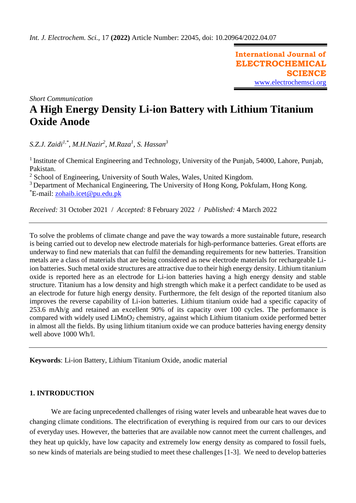**International Journal of ELECTROCHEMICAL SCIENCE** [www.electrochemsci.org](http://www.electrochemsci.org/)

*Short Communication*

# **A High Energy Density Li-ion Battery with Lithium Titanium Oxide Anode**

*S.Z.J. Zaidi1,\* , M.H.Nazir<sup>2</sup> , M.Raza<sup>1</sup> , S. Hassan<sup>3</sup>*

<sup>1</sup> Institute of Chemical Engineering and Technology, University of the Punjab, 54000, Lahore, Punjab, Pakistan.

<sup>2</sup> School of Engineering, University of South Wales, Wales, United Kingdom.

<sup>3</sup> Department of Mechanical Engineering, The University of Hong Kong, Pokfulam, Hong Kong. \*E-mail: [zohaib.icet@pu.edu.pk](mailto:zohaib.icet@pu.edu.pk)

*Received:* 31 October 2021/ *Accepted:* 8 February 2022 / *Published:* 4 March 2022

To solve the problems of climate change and pave the way towards a more sustainable future, research is being carried out to develop new electrode materials for high-performance batteries. Great efforts are underway to find new materials that can fulfil the demanding requirements for new batteries. Transition metals are a class of materials that are being considered as new electrode materials for rechargeable Liion batteries. Such metal oxide structures are attractive due to their high energy density. Lithium titanium oxide is reported here as an electrode for Li-ion batteries having a high energy density and stable structure. Titanium has a low density and high strength which make it a perfect candidate to be used as an electrode for future high energy density. Furthermore, the felt design of the reported titanium also improves the reverse capability of Li-ion batteries. Lithium titanium oxide had a specific capacity of 253.6 mAh/g and retained an excellent 90% of its capacity over 100 cycles. The performance is compared with widely used  $LimO<sub>2</sub>$  chemistry, against which Lithium titanium oxide performed better in almost all the fields. By using lithium titanium oxide we can produce batteries having energy density well above 1000 Wh/l.

**Keywords**: Li-ion Battery, Lithium Titanium Oxide, anodic material

## **1. INTRODUCTION**

We are facing unprecedented challenges of rising water levels and unbearable heat waves due to changing climate conditions. The electrification of everything is required from our cars to our devices of everyday uses. However, the batteries that are available now cannot meet the current challenges, and they heat up quickly, have low capacity and extremely low energy density as compared to fossil fuels, so new kinds of materials are being studied to meet these challenges [1-3]. We need to develop batteries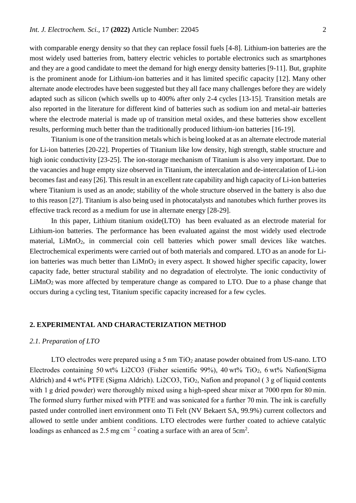with comparable energy density so that they can replace fossil fuels [4-8]. Lithium-ion batteries are the most widely used batteries from, battery electric vehicles to portable electronics such as smartphones and they are a good candidate to meet the demand for high energy density batteries [9-11]. But, graphite is the prominent anode for Lithium-ion batteries and it has limited specific capacity [12]. Many other alternate anode electrodes have been suggested but they all face many challenges before they are widely adapted such as silicon (which swells up to 400% after only 2-4 cycles [13-15]. Transition metals are also reported in the literature for different kind of batteries such as sodium ion and metal-air batteries where the electrode material is made up of transition metal oxides, and these batteries show excellent results, performing much better than the traditionally produced lithium-ion batteries [16-19].

Titanium is one of the transition metals which is being looked at as an alternate electrode material for Li-ion batteries [20-22]. Properties of Titanium like low density, high strength, stable structure and high ionic conductivity [23-25]. The ion-storage mechanism of Titanium is also very important. Due to the vacancies and huge empty size observed in Titanium, the intercalation and de-intercalation of Li-ion becomes fast and easy [26]. This result in an excellent rate capability and high capacity of Li-ion batteries where Titanium is used as an anode; stability of the whole structure observed in the battery is also due to this reason [27]. Titanium is also being used in photocatalysts and nanotubes which further proves its effective track record as a medium for use in alternate energy [28-29].

In this paper, Lithium titanium oxide(LTO) has been evaluated as an electrode material for Lithium-ion batteries. The performance has been evaluated against the most widely used electrode material, LiMnO<sub>2</sub>, in commercial coin cell batteries which power small devices like watches. Electrochemical experiments were carried out of both materials and compared. LTO as an anode for Liion batteries was much better than  $LimO<sub>2</sub>$  in every aspect. It showed higher specific capacity, lower capacity fade, better structural stability and no degradation of electrolyte. The ionic conductivity of LiMnO2 was more affected by temperature change as compared to LTO. Due to a phase change that occurs during a cycling test, Titanium specific capacity increased for a few cycles.

# **2. EXPERIMENTAL AND CHARACTERIZATION METHOD**

#### *2.1. Preparation of LTO*

LTO electrodes were prepared using a 5 nm  $TiO<sub>2</sub>$  anatase powder obtained from US-nano. LTO Electrodes containing 50 wt% Li2CO3 (Fisher scientific 99%), 40 wt% TiO<sub>2</sub>, 6 wt% Nafion(Sigma Aldrich) and 4 wt% PTFE (Sigma Aldrich). Li2CO3, TiO2, Nafion and propanol ( 3 g of liquid contents with 1 g dried powder) were thoroughly mixed using a high-speed shear mixer at 7000 rpm for 80 min. The formed slurry further mixed with PTFE and was sonicated for a further 70 min. The ink is carefully pasted under controlled inert environment onto Ti Felt (NV Bekaert SA, 99.9%) current collectors and allowed to settle under ambient conditions. LTO electrodes were further coated to achieve catalytic loadings as enhanced as 2.5 mg cm<sup>-2</sup> coating a surface with an area of 5cm<sup>2</sup>.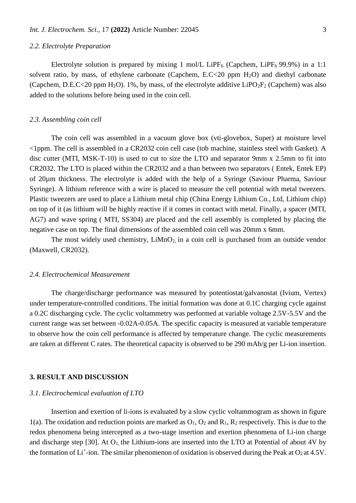#### *2.2. Electrolyte Preparation*

Electrolyte solution is prepared by mixing 1 mol/L LiPF<sub>6</sub> (Capchem, LiPF<sub>6</sub> 99.9%) in a 1:1 solvent ratio, by mass, of ethylene carbonate (Capchem,  $E.C<20$  ppm  $H<sub>2</sub>O$ ) and diethyl carbonate (Capchem, D.E.C<20 ppm H<sub>2</sub>O). 1%, by mass, of the electrolyte additive LiPO<sub>2</sub>F<sub>2</sub> (Capchem) was also added to the solutions before being used in the coin cell.

#### *2.3. Assembling coin cell*

The coin cell was assembled in a vacuum glove box (vti-glovebox, Super) at moisture level <1ppm. The cell is assembled in a CR2032 coin cell case (tob machine, stainless steel with Gasket). A disc cutter (MTI, MSK-T-10) is used to cut to size the LTO and separator 9mm x 2.5mm to fit into CR2032. The LTO is placed within the CR2032 and a than between two separators ( Entek, Entek EP) of 20µm thickness. The electrolyte is added with the help of a Syringe (Saviour Pharma, Saviour Syringe). A lithium reference with a wire is placed to measure the cell potential with metal tweezers. Plastic tweezers are used to place a Lithium metal chip (China Energy Lithium Co., Ltd, Lithium chip) on top of it (as lithium will be highly reactive if it comes in contact with metal. Finally, a spacer (MTI, AG7) and wave spring ( MTI, SS304) are placed and the cell assembly is completed by placing the negative case on top. The final dimensions of the assembled coin cell was 20mm x 6mm.

The most widely used chemistry,  $LiMnO<sub>2</sub>$  in a coin cell is purchased from an outside vendor (Maxwell, CR2032).

#### *2.4. Electrochemical Measurement*

The charge/discharge performance was measured by potentiostat/galvanostat (Ivium, Vertex) under temperature-controlled conditions. The initial formation was done at 0.1C charging cycle against a 0.2C discharging cycle. The cyclic voltammetry was performed at variable voltage 2.5V-5.5V and the current range was set between -0.02A-0.05A. The specific capacity is measured at variable temperature to observe how the coin cell performance is affected by temperature change. The cyclic measurements are taken at different C rates. The theoretical capacity is observed to be 290 mAh/g per Li-ion insertion.

### **3. RESULT AND DISCUSSION**

#### *3.1. Electrochemical evaluation of LTO*

Insertion and exertion of li-ions is evaluated by a slow cyclic voltammogram as shown in figure 1(a). The oxidation and reduction points are marked as  $O_1$ ,  $O_2$  and  $R_1$ ,  $R_2$  respectively. This is due to the redox phenomena being intercepted as a two-stage insertion and exertion phenomena of Li-ion charge and discharge step [30]. At  $O_1$ , the Lithium-ions are inserted into the LTO at Potential of about 4V by the formation of  $Li^+$ -ion. The similar phenomenon of oxidation is observed during the Peak at O<sub>2</sub> at 4.5V.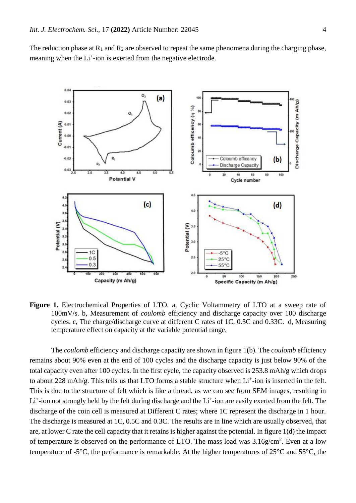The reduction phase at  $R_1$  and  $R_2$  are observed to repeat the same phenomena during the charging phase, meaning when the Li<sup>+</sup>-ion is exerted from the negative electrode.



Figure 1. Electrochemical Properties of LTO. a, Cyclic Voltammetry of LTO at a sweep rate of 100mV/s. b, Measurement of *coulomb* efficiency and discharge capacity over 100 discharge cycles. c, The charge/discharge curve at different C rates of 1C, 0.5C and 0.33C. d, Measuring temperature effect on capacity at the variable potential range.

The *coulomb* efficiency and discharge capacity are shown in figure 1(b). The *coulomb* efficiency remains about 90% even at the end of 100 cycles and the discharge capacity is just below 90% of the total capacity even after 100 cycles. In the first cycle, the capacity observed is 253.8 mAh/g which drops to about 228 mAh/g. This tells us that LTO forms a stable structure when Li<sup>+</sup>-ion is inserted in the felt. This is due to the structure of felt which is like a thread, as we can see from SEM images, resulting in Li<sup>+</sup>-ion not strongly held by the felt during discharge and the Li<sup>+</sup>-ion are easily exerted from the felt. The discharge of the coin cell is measured at Different C rates; where 1C represent the discharge in 1 hour. The discharge is measured at 1C, 0.5C and 0.3C. The results are in line which are usually observed, that are, at lower C rate the cell capacity that it retains is higher against the potential. In figure 1(d) the impact of temperature is observed on the performance of LTO. The mass load was  $3.16g/cm^2$ . Even at a low temperature of -5°C, the performance is remarkable. At the higher temperatures of 25**°**C and 55°C, the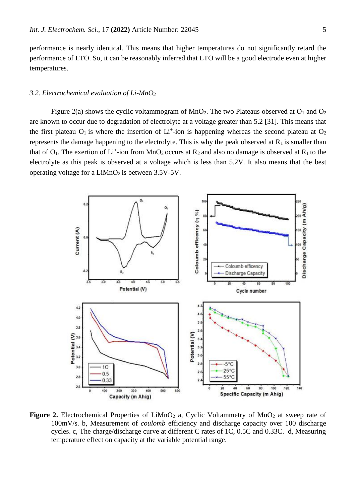performance is nearly identical. This means that higher temperatures do not significantly retard the performance of LTO. So, it can be reasonably inferred that LTO will be a good electrode even at higher temperatures.

#### *3.2. Electrochemical evaluation of Li-MnO<sup>2</sup>*

Figure 2(a) shows the cyclic voltammogram of  $MnO<sub>2</sub>$ . The two Plateaus observed at  $O<sub>1</sub>$  and  $O<sub>2</sub>$ are known to occur due to degradation of electrolyte at a voltage greater than 5.2 [31]. This means that the first plateau  $O_1$  is where the insertion of  $Li^+$ -ion is happening whereas the second plateau at  $O_2$ represents the damage happening to the electrolyte. This is why the peak observed at  $R_1$  is smaller than that of  $O_1$ . The exertion of Li<sup>+</sup>-ion from MnO<sub>2</sub> occurs at R<sub>2</sub> and also no damage is observed at R<sub>1</sub> to the electrolyte as this peak is observed at a voltage which is less than 5.2V. It also means that the best operating voltage for a  $LiMnO<sub>2</sub>$  is between 3.5V-5V.



**Figure 2.** Electrochemical Properties of LiMnO<sub>2</sub> a, Cyclic Voltammetry of MnO<sub>2</sub> at sweep rate of 100mV/s. b, Measurement of *coulomb* efficiency and discharge capacity over 100 discharge cycles. c, The charge/discharge curve at different C rates of 1C, 0.5C and 0.33C. d, Measuring temperature effect on capacity at the variable potential range.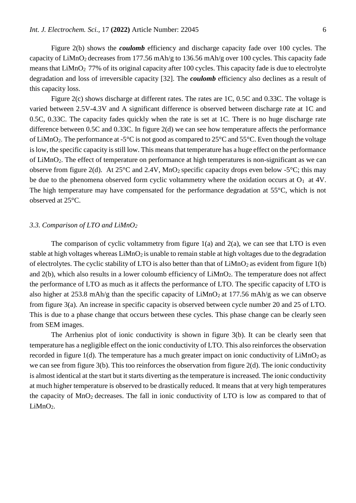Figure 2(b) shows the *coulomb* efficiency and discharge capacity fade over 100 cycles. The capacity of LiMnO2 decreases from 177.56 mAh/g to 136.56 mAh/g over 100 cycles. This capacity fade means that  $LimO<sub>2</sub>$  77% of its original capacity after 100 cycles. This capacity fade is due to electrolyte degradation and loss of irreversible capacity [32]. The *coulomb* efficiency also declines as a result of this capacity loss.

Figure 2(c) shows discharge at different rates. The rates are 1C, 0.5C and 0.33C. The voltage is varied between 2.5V-4.3V and A significant difference is observed between discharge rate at 1C and 0.5C, 0.33C. The capacity fades quickly when the rate is set at 1C. There is no huge discharge rate difference between 0.5C and 0.33C. In figure 2(d) we can see how temperature affects the performance of LiMnO2. The performance at -5°C is not good as compared to 25°C and 55°C. Even though the voltage is low, the specific capacity is still low. This means that temperature has a huge effect on the performance of LiMnO2. The effect of temperature on performance at high temperatures is non-significant as we can observe from figure 2(d). At 25°C and 2.4V, MnO2 specific capacity drops even below -5°C; this may be due to the phenomena observed form cyclic voltammetry where the oxidation occurs at  $O_1$  at 4V. The high temperature may have compensated for the performance degradation at 55°C, which is not observed at 25°C.

# *3.3. Comparison of LTO and LiMnO<sup>2</sup>*

The comparison of cyclic voltammetry from figure  $1(a)$  and  $2(a)$ , we can see that LTO is even stable at high voltages whereas  $LiMnO<sub>2</sub>$  is unable to remain stable at high voltages due to the degradation of electrolytes. The cyclic stability of LTO is also better than that of  $LimnO_2$  as evident from figure 1(b) and  $2(b)$ , which also results in a lower coloumb efficiency of  $LiMnO<sub>2</sub>$ . The temperature does not affect the performance of LTO as much as it affects the performance of LTO. The specific capacity of LTO is also higher at 253.8 mAh/g than the specific capacity of  $LiMnO<sub>2</sub>$  at 177.56 mAh/g as we can observe from figure 3(a). An increase in specific capacity is observed between cycle number 20 and 25 of LTO. This is due to a phase change that occurs between these cycles. This phase change can be clearly seen from SEM images.

The Arrhenius plot of ionic conductivity is shown in figure 3(b). It can be clearly seen that temperature has a negligible effect on the ionic conductivity of LTO. This also reinforces the observation recorded in figure 1(d). The temperature has a much greater impact on ionic conductivity of  $LiMnO<sub>2</sub>$  as we can see from figure  $3(b)$ . This too reinforces the observation from figure  $2(d)$ . The ionic conductivity is almost identical at the start but it starts diverting as the temperature is increased. The ionic conductivity at much higher temperature is observed to be drastically reduced. It means that at very high temperatures the capacity of MnO2 decreases. The fall in ionic conductivity of LTO is low as compared to that of  $LiMnO<sub>2</sub>$ .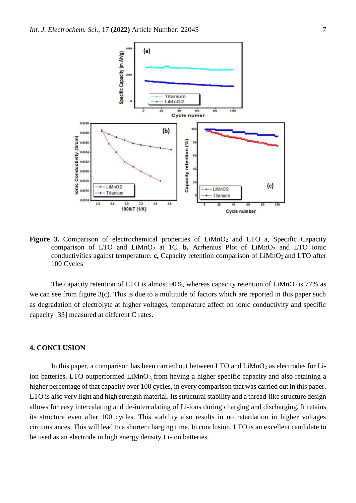

**Figure 3.** Comparison of electrochemical properties of LiMnO<sub>2</sub> and LTO a, Specific Capacity comparison of LTO and  $LiMnO<sub>2</sub>$  at 1C. **b**, Arrhenius Plot of  $LiMnO<sub>2</sub>$  and LTO ionic conductivities against temperature. **c**, Capacity retention comparison of LiMnO<sub>2</sub> and LTO after 100 Cycles

The capacity retention of LTO is almost  $90\%$ , whereas capacity retention of LiMnO<sub>2</sub> is 77% as we can see from figure 3(c). This is due to a multitude of factors which are reported in this paper such as degradation of electrolyte at higher voltages, temperature affect on ionic conductivity and specific capacity [33] measured at different C rates.

# **4. CONCLUSION**

In this paper, a comparison has been carried out between LTO and  $LiMnO<sub>2</sub>$  as electrodes for Liion batteries. LTO outperformed LiMnO<sub>2</sub>, from having a higher specific capacity and also retaining a higher percentage of that capacity over 100 cycles, in every comparison that was carried out in this paper. LTO is also very light and high strength material. Its structural stability and a thread-like structure design allows for easy intercalating and de-intercalating of Li-ions during charging and discharging. It retains its structure even after 100 cycles. This stability also results in no retardation in higher voltages circumstances. This will lead to a shorter charging time. In conclusion, LTO is an excellent candidate to be used as an electrode in high energy density Li-ion batteries.